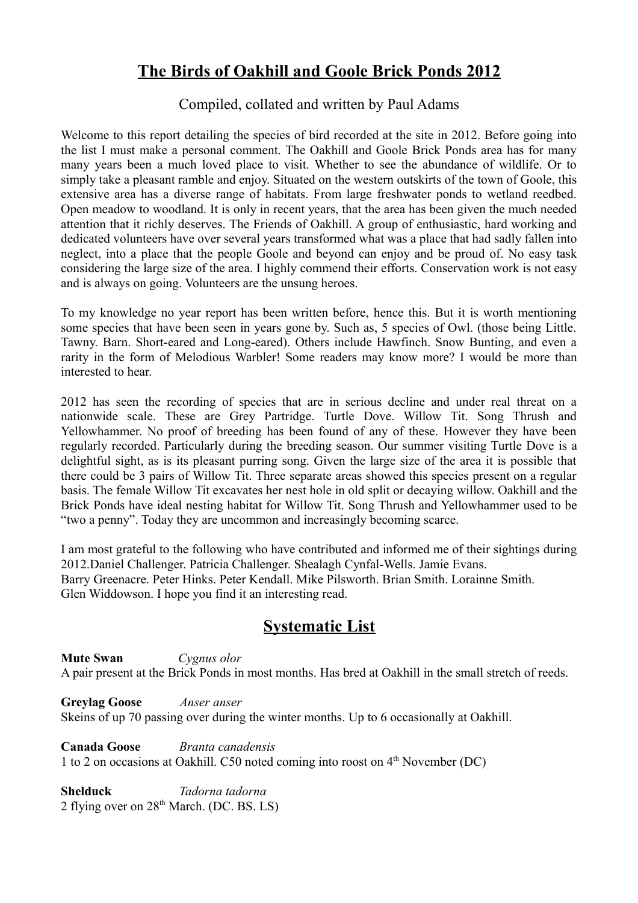# **The Birds of Oakhill and Goole Brick Ponds 2012**

## Compiled, collated and written by Paul Adams

Welcome to this report detailing the species of bird recorded at the site in 2012. Before going into the list I must make a personal comment. The Oakhill and Goole Brick Ponds area has for many many years been a much loved place to visit. Whether to see the abundance of wildlife. Or to simply take a pleasant ramble and enjoy. Situated on the western outskirts of the town of Goole, this extensive area has a diverse range of habitats. From large freshwater ponds to wetland reedbed. Open meadow to woodland. It is only in recent years, that the area has been given the much needed attention that it richly deserves. The Friends of Oakhill. A group of enthusiastic, hard working and dedicated volunteers have over several years transformed what was a place that had sadly fallen into neglect, into a place that the people Goole and beyond can enjoy and be proud of. No easy task considering the large size of the area. I highly commend their efforts. Conservation work is not easy and is always on going. Volunteers are the unsung heroes.

To my knowledge no year report has been written before, hence this. But it is worth mentioning some species that have been seen in years gone by. Such as, 5 species of Owl. (those being Little. Tawny. Barn. Short-eared and Long-eared). Others include Hawfinch. Snow Bunting, and even a rarity in the form of Melodious Warbler! Some readers may know more? I would be more than interested to hear.

2012 has seen the recording of species that are in serious decline and under real threat on a nationwide scale. These are Grey Partridge. Turtle Dove. Willow Tit. Song Thrush and Yellowhammer. No proof of breeding has been found of any of these. However they have been regularly recorded. Particularly during the breeding season. Our summer visiting Turtle Dove is a delightful sight, as is its pleasant purring song. Given the large size of the area it is possible that there could be 3 pairs of Willow Tit. Three separate areas showed this species present on a regular basis. The female Willow Tit excavates her nest hole in old split or decaying willow. Oakhill and the Brick Ponds have ideal nesting habitat for Willow Tit. Song Thrush and Yellowhammer used to be "two a penny". Today they are uncommon and increasingly becoming scarce.

I am most grateful to the following who have contributed and informed me of their sightings during 2012.Daniel Challenger. Patricia Challenger. Shealagh Cynfal-Wells. Jamie Evans. Barry Greenacre. Peter Hinks. Peter Kendall. Mike Pilsworth. Brian Smith. Lorainne Smith. Glen Widdowson. I hope you find it an interesting read.

# **Systematic List**

**Mute Swan** *Cygnus olor*  A pair present at the Brick Ponds in most months. Has bred at Oakhill in the small stretch of reeds.

**Greylag Goose** *Anser anser* Skeins of up 70 passing over during the winter months. Up to 6 occasionally at Oakhill.

**Canada Goose** *Branta canadensis* 1 to 2 on occasions at Oakhill. C50 noted coming into roost on  $4<sup>th</sup>$  November (DC)

**Shelduck** *Tadorna tadorna* 2 flying over on  $28<sup>th</sup>$  March. (DC. BS. LS)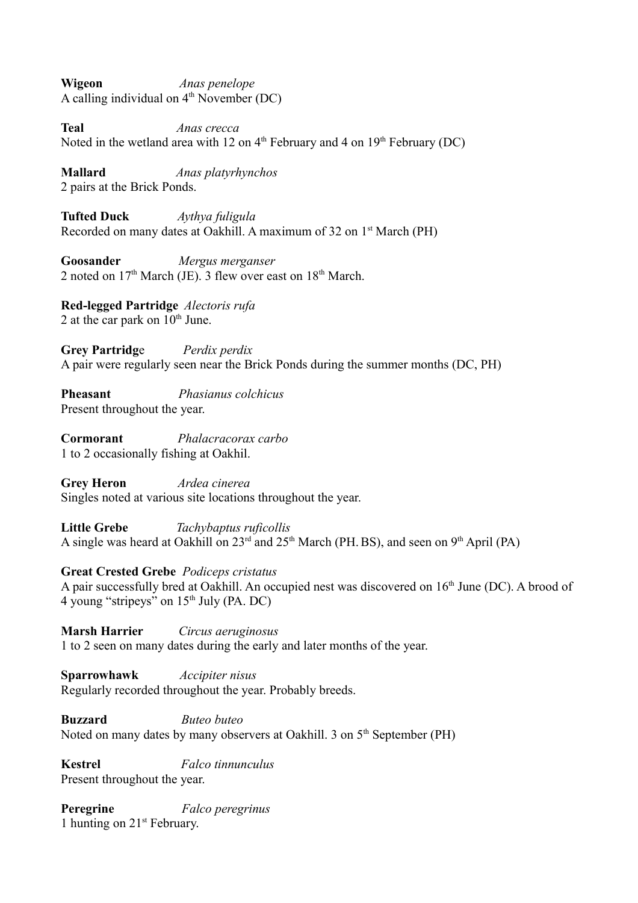**Wigeon** *Anas penelope* A calling individual on  $4<sup>th</sup>$  November (DC)

**Teal** *Anas crecca*  Noted in the wetland area with 12 on  $4<sup>th</sup>$  February and 4 on  $19<sup>th</sup>$  February (DC)

**Mallard** *Anas platyrhynchos* 2 pairs at the Brick Ponds.

**Tufted Duck** *Aythya fuligula*  Recorded on many dates at Oakhill. A maximum of 32 on 1<sup>st</sup> March (PH)

**Goosander** *Mergus merganser* 2 noted on  $17<sup>th</sup>$  March (JE). 3 flew over east on  $18<sup>th</sup>$  March.

**Red-legged Partridge** *Alectoris rufa*  2 at the car park on  $10^{th}$  June.

**Grey Partridg**e *Perdix perdix*  A pair were regularly seen near the Brick Ponds during the summer months (DC, PH)

**Pheasant** *Phasianus colchicus* Present throughout the year.

**Cormorant** *Phalacracorax carbo*  1 to 2 occasionally fishing at Oakhil.

**Grey Heron** *Ardea cinerea*  Singles noted at various site locations throughout the year.

**Little Grebe** *Tachybaptus ruficollis* A single was heard at Oakhill on  $23<sup>rd</sup>$  and  $25<sup>th</sup>$  March (PH. BS), and seen on 9<sup>th</sup> April (PA)

### **Great Crested Grebe** *Podiceps cristatus*

A pair successfully bred at Oakhill. An occupied nest was discovered on  $16<sup>th</sup>$  June (DC). A brood of 4 young "stripeys" on  $15<sup>th</sup>$  July (PA. DC)

**Marsh Harrier** *Circus aeruginosus* 1 to 2 seen on many dates during the early and later months of the year.

**Sparrowhawk** *Accipiter nisus*  Regularly recorded throughout the year. Probably breeds.

**Buzzard** *Buteo buteo* Noted on many dates by many observers at Oakhill. 3 on  $5<sup>th</sup>$  September (PH)

**Kestrel** *Falco tinnunculus* Present throughout the year.

**Peregrine** *Falco peregrinus* 1 hunting on 21st February.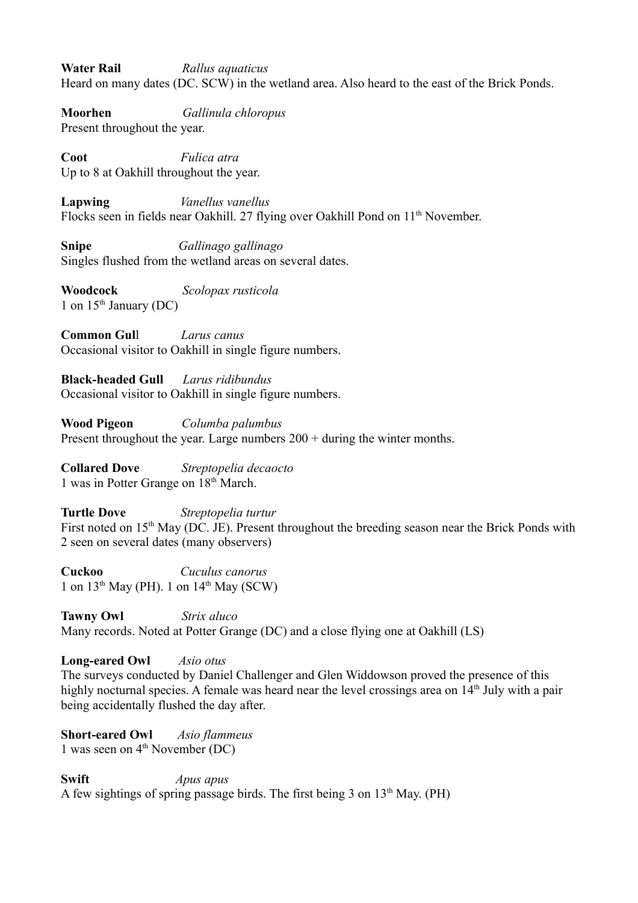**Water Rail** *Rallus aquaticus* Heard on many dates (DC. SCW) in the wetland area. Also heard to the east of the Brick Ponds.

**Moorhen** *Gallinula chloropus* Present throughout the year.

**Coot** *Fulica atra* Up to 8 at Oakhill throughout the year.

**Lapwing** *Vanellus vanellus*  Flocks seen in fields near Oakhill. 27 flying over Oakhill Pond on 11<sup>th</sup> November.

**Snipe** *Gallinago gallinago* Singles flushed from the wetland areas on several dates.

**Woodcock** *Scolopax rusticola*  1 on  $15<sup>th</sup>$  January (DC)

**Common Gul**l *Larus canus* Occasional visitor to Oakhill in single figure numbers.

**Black-headed Gull** *Larus ridibundus*  Occasional visitor to Oakhill in single figure numbers.

**Wood Pigeon** *Columba palumbus*  Present throughout the year. Large numbers 200 + during the winter months.

**Collared Dove** *Streptopelia decaocto* 1 was in Potter Grange on 18th March.

**Turtle Dove** *Streptopelia turtur* First noted on 15<sup>th</sup> May (DC. JE). Present throughout the breeding season near the Brick Ponds with 2 seen on several dates (many observers)

**Cuckoo** *Cuculus canorus*  1 on  $13<sup>th</sup>$  May (PH). 1 on  $14<sup>th</sup>$  May (SCW)

**Tawny Owl** *Strix aluco* Many records. Noted at Potter Grange (DC) and a close flying one at Oakhill (LS)

**Long-eared Owl** *Asio otus*

The surveys conducted by Daniel Challenger and Glen Widdowson proved the presence of this highly nocturnal species. A female was heard near the level crossings area on 14<sup>th</sup> July with a pair being accidentally flushed the day after.

**Short-eared Owl** *Asio flammeus* 1 was seen on  $4<sup>th</sup>$  November (DC)

**Swift** *Apus apus* A few sightings of spring passage birds. The first being 3 on  $13<sup>th</sup>$  May. (PH)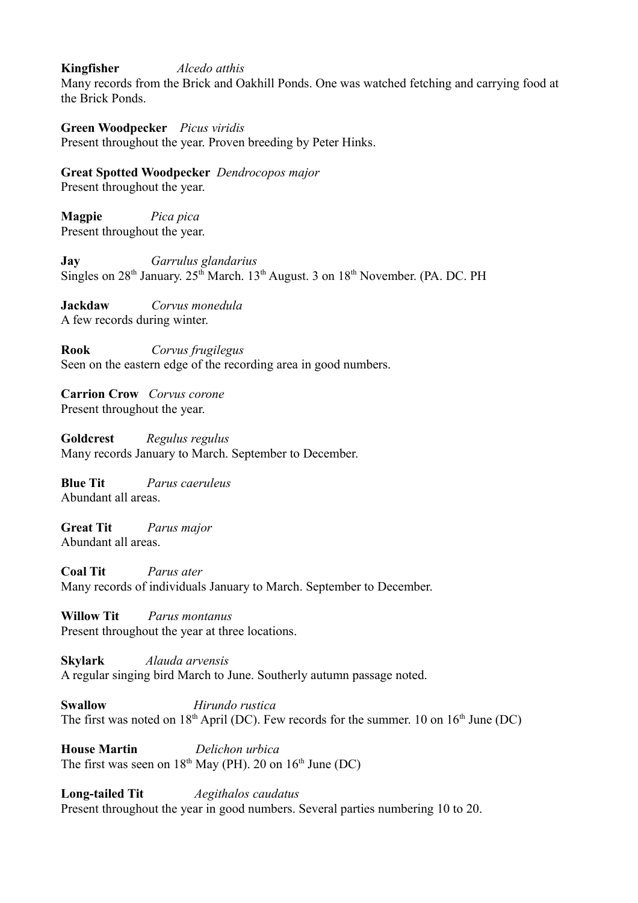#### **Kingfisher** *Alcedo atthis*

Many records from the Brick and Oakhill Ponds. One was watched fetching and carrying food at the Brick Ponds.

#### **Green Woodpecker** *Picus viridis*

Present throughout the year. Proven breeding by Peter Hinks.

**Great Spotted Woodpecker** *Dendrocopos major*

Present throughout the year.

**Magpie** *Pica pica* Present throughout the year.

**Jay** *Garrulus glandarius* Singles on  $28<sup>th</sup>$  January.  $25<sup>th</sup>$  March. 13<sup>th</sup> August. 3 on  $18<sup>th</sup>$  November. (PA. DC. PH

**Jackdaw** *Corvus monedula* A few records during winter.

**Rook** *Corvus frugilegus* Seen on the eastern edge of the recording area in good numbers.

**Carrion Crow** *Corvus corone* Present throughout the year.

**Goldcrest** *Regulus regulus* Many records January to March. September to December.

**Blue Tit** *Parus caeruleus* Abundant all areas.

**Great Tit** *Parus major* Abundant all areas.

**Coal Tit** *Parus ater* Many records of individuals January to March. September to December.

**Willow Tit** *Parus montanus* Present throughout the year at three locations.

**Skylark** *Alauda arvensis* A regular singing bird March to June. Southerly autumn passage noted.

**Swallow** *Hirundo rustica* The first was noted on  $18<sup>th</sup>$  April (DC). Few records for the summer. 10 on  $16<sup>th</sup>$  June (DC)

**House Martin** *Delichon urbica* The first was seen on  $18<sup>th</sup>$  May (PH). 20 on  $16<sup>th</sup>$  June (DC)

**Long-tailed Tit** *Aegithalos caudatus* Present throughout the year in good numbers. Several parties numbering 10 to 20.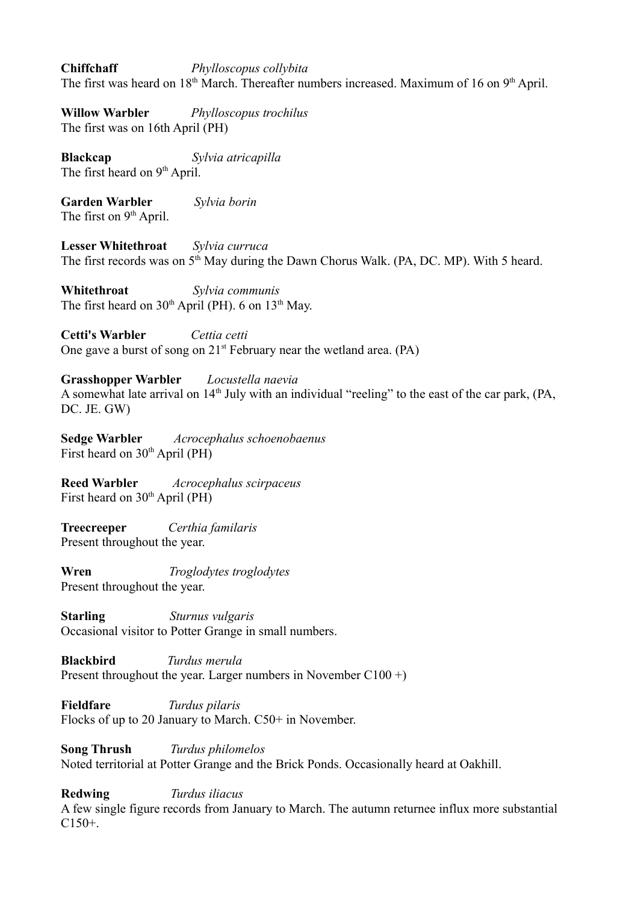**Chiffchaff** *Phylloscopus collybita* The first was heard on  $18<sup>th</sup>$  March. Thereafter numbers increased. Maximum of 16 on  $9<sup>th</sup>$  April.

**Willow Warbler** *Phylloscopus trochilus* The first was on 16th April (PH)

**Blackcap** *Sylvia atricapilla* The first heard on 9<sup>th</sup> April.

**Garden Warbler** *Sylvia borin* The first on 9<sup>th</sup> April.

**Lesser Whitethroat** *Sylvia curruca* The first records was on  $5<sup>th</sup>$  May during the Dawn Chorus Walk. (PA, DC. MP). With 5 heard.

**Whitethroat** *Sylvia communis* The first heard on  $30<sup>th</sup>$  April (PH). 6 on  $13<sup>th</sup>$  May.

**Cetti's Warbler** *Cettia cetti* One gave a burst of song on  $21<sup>st</sup>$  February near the wetland area. (PA)

**Grasshopper Warbler** *Locustella naevia* A somewhat late arrival on  $14<sup>th</sup>$  July with an individual "reeling" to the east of the car park, (PA, DC. JE. GW)

**Sedge Warbler** *Acrocephalus schoenobaenus* First heard on  $30<sup>th</sup>$  April (PH)

**Reed Warbler** *Acrocephalus scirpaceus* First heard on  $30<sup>th</sup>$  April (PH)

**Treecreeper** *Certhia familaris* Present throughout the year.

**Wren** *Troglodytes troglodytes* Present throughout the year.

**Starling** *Sturnus vulgaris* Occasional visitor to Potter Grange in small numbers.

**Blackbird** *Turdus merula* Present throughout the year. Larger numbers in November  $C100 +$ )

**Fieldfare** *Turdus pilaris* Flocks of up to 20 January to March. C50+ in November.

**Song Thrush** *Turdus philomelos* Noted territorial at Potter Grange and the Brick Ponds. Occasionally heard at Oakhill.

**Redwing** *Turdus iliacus* A few single figure records from January to March. The autumn returnee influx more substantial C150+.